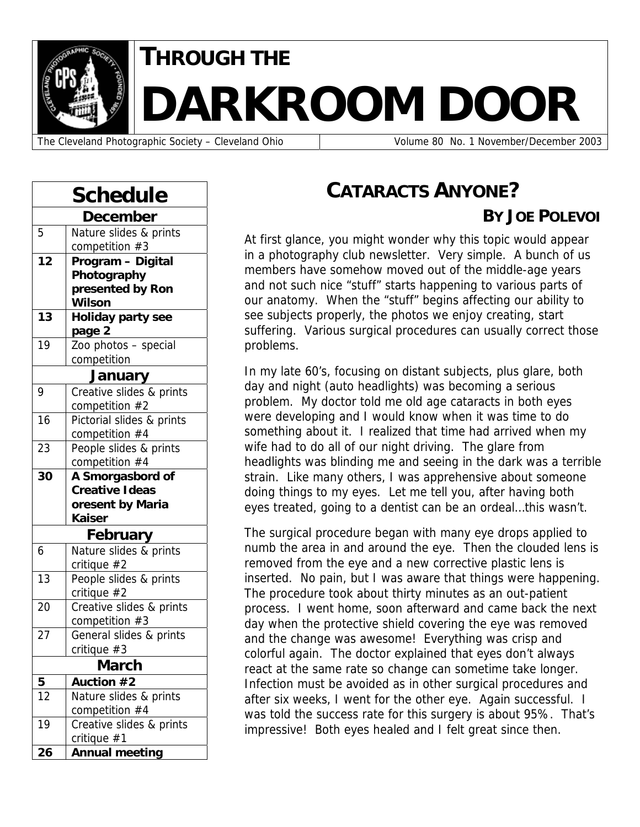

# **THROUGH THE DARKROOM DOOR**

The Cleveland Photographic Society – Cleveland Ohio  $\vert$  Volume 80 No. 1 November/December 2003

| 5                   | December<br>Nature slides & prints                                                                                                                                                                                      |  |  |
|---------------------|-------------------------------------------------------------------------------------------------------------------------------------------------------------------------------------------------------------------------|--|--|
|                     |                                                                                                                                                                                                                         |  |  |
|                     |                                                                                                                                                                                                                         |  |  |
|                     | competition #3                                                                                                                                                                                                          |  |  |
| $\overline{12}$     | Program - Digital                                                                                                                                                                                                       |  |  |
|                     | Photography                                                                                                                                                                                                             |  |  |
|                     | presented by Ron                                                                                                                                                                                                        |  |  |
|                     | <b>Wilson</b>                                                                                                                                                                                                           |  |  |
| 13                  | <b>Holiday party see</b>                                                                                                                                                                                                |  |  |
|                     | page 2                                                                                                                                                                                                                  |  |  |
| 19                  | Zoo photos - special                                                                                                                                                                                                    |  |  |
|                     | competition                                                                                                                                                                                                             |  |  |
| January             |                                                                                                                                                                                                                         |  |  |
| 9                   | Creative slides & prints                                                                                                                                                                                                |  |  |
|                     | competition #2                                                                                                                                                                                                          |  |  |
| 16                  | Pictorial slides & prints                                                                                                                                                                                               |  |  |
|                     | competition #4                                                                                                                                                                                                          |  |  |
| 23                  | People slides & prints                                                                                                                                                                                                  |  |  |
|                     | competition #4                                                                                                                                                                                                          |  |  |
| 30                  | A Smorgasbord of                                                                                                                                                                                                        |  |  |
|                     | <b>Creative Ideas</b>                                                                                                                                                                                                   |  |  |
|                     | oresent by Maria                                                                                                                                                                                                        |  |  |
|                     |                                                                                                                                                                                                                         |  |  |
|                     |                                                                                                                                                                                                                         |  |  |
|                     |                                                                                                                                                                                                                         |  |  |
|                     |                                                                                                                                                                                                                         |  |  |
|                     |                                                                                                                                                                                                                         |  |  |
|                     |                                                                                                                                                                                                                         |  |  |
|                     |                                                                                                                                                                                                                         |  |  |
|                     |                                                                                                                                                                                                                         |  |  |
|                     |                                                                                                                                                                                                                         |  |  |
|                     |                                                                                                                                                                                                                         |  |  |
|                     |                                                                                                                                                                                                                         |  |  |
|                     |                                                                                                                                                                                                                         |  |  |
| 5                   |                                                                                                                                                                                                                         |  |  |
| 12                  | Nature slides & prints                                                                                                                                                                                                  |  |  |
|                     | competition #4                                                                                                                                                                                                          |  |  |
| 19                  | Creative slides & prints<br>critique $#1$                                                                                                                                                                               |  |  |
| 6<br>13<br>20<br>27 | Kaiser<br>February<br>Nature slides & prints<br>critique $#2$<br>People slides & prints<br>critique $#2$<br>Creative slides & prints<br>competition #3<br>General slides & prints<br>critique #3<br>March<br>Auction #2 |  |  |

# **CATARACTS ANYONE?**

## **BY JOE POLEVOI**

At first glance, you might wonder why this topic would appear in a photography club newsletter. Very simple. A bunch of us members have somehow moved out of the middle-age years and not such nice "stuff" starts happening to various parts of our anatomy. When the "stuff" begins affecting our ability to see subjects properly, the photos we enjoy creating, start suffering. Various surgical procedures can usually correct those problems.

In my late 60's, focusing on distant subjects, plus glare, both day and night (auto headlights) was becoming a serious problem. My doctor told me old age cataracts in both eyes were developing and I would know when it was time to do something about it. I realized that time had arrived when my wife had to do all of our night driving. The glare from headlights was blinding me and seeing in the dark was a terrible strain. Like many others, I was apprehensive about someone doing things to my eyes. Let me tell you, after having both eyes treated, going to a dentist can be an ordeal…this wasn't.

The surgical procedure began with many eye drops applied to numb the area in and around the eye. Then the clouded lens is removed from the eye and a new corrective plastic lens is inserted. No pain, but I was aware that things were happening. The procedure took about thirty minutes as an out-patient process. I went home, soon afterward and came back the next day when the protective shield covering the eye was removed and the change was awesome! Everything was crisp and colorful again. The doctor explained that eyes don't always react at the same rate so change can sometime take longer. Infection must be avoided as in other surgical procedures and after six weeks, I went for the other eye. Again successful. I was told the success rate for this surgery is about 95%. That's impressive! Both eyes healed and I felt great since then.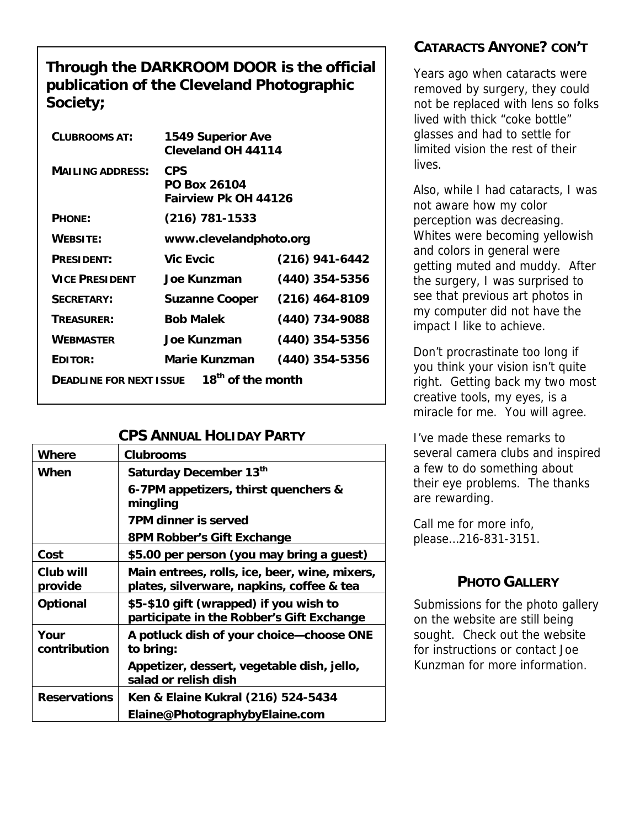## **Through the DARKROOM DOOR is the official publication of the Cleveland Photographic Society;**

| <b>CLUBROOMS AT:</b>                                            | <b>1549 Superior Ave</b><br><b>Cleveland OH 44114</b> |                  |  |  |
|-----------------------------------------------------------------|-------------------------------------------------------|------------------|--|--|
| <b>MAILING ADDRESS:</b>                                         | CPS<br><b>PO Box 26104</b><br>Fairview Pk OH 44126    |                  |  |  |
| <b>PHONE:</b>                                                   | $(216)$ 781-1533                                      |                  |  |  |
| <b>WEBSITE:</b>                                                 | www.clevelandphoto.org                                |                  |  |  |
| <b>PRESIDENT:</b>                                               | <b>Vic Evcic</b>                                      | $(216)$ 941-6442 |  |  |
| <b>VICE PRESIDENT</b>                                           | Joe Kunzman                                           | $(440)$ 354-5356 |  |  |
| <b>SECRETARY:</b>                                               | <b>Suzanne Cooper</b>                                 | $(216)$ 464-8109 |  |  |
| TREASURER:                                                      | <b>Bob Malek</b>                                      | (440) 734-9088   |  |  |
| <b>WEBMASTER</b>                                                | <b>Joe Kunzman</b>                                    | $(440)$ 354-5356 |  |  |
| EDITOR:                                                         | Marie Kunzman                                         | $(440)$ 354-5356 |  |  |
| 18 <sup>th</sup> of the month<br><b>DEADLINE FOR NEXT ISSUE</b> |                                                       |                  |  |  |

## **CPS ANNUAL HOLIDAY PARTY**

| Where                | <b>Clubrooms</b>                                                                           |
|----------------------|--------------------------------------------------------------------------------------------|
| When                 | Saturday December 13th                                                                     |
|                      | 6-7PM appetizers, thirst quenchers &<br>mingling                                           |
|                      | <b>7PM dinner is served</b>                                                                |
|                      | 8PM Robber's Gift Exchange                                                                 |
| Cost                 | \$5.00 per person (you may bring a guest)                                                  |
| Club will<br>provide | Main entrees, rolls, ice, beer, wine, mixers,<br>plates, silverware, napkins, coffee & tea |
| <b>Optional</b>      | \$5-\$10 gift (wrapped) if you wish to<br>participate in the Robber's Gift Exchange        |
| Your<br>contribution | A potluck dish of your choice-choose ONE<br>to bring:                                      |
|                      | Appetizer, dessert, vegetable dish, jello,<br>salad or relish dish                         |
| <b>Reservations</b>  | Ken & Elaine Kukral (216) 524-5434                                                         |
|                      | Elaine@PhotographybyElaine.com                                                             |

# **CATARACTS ANYONE? CON'T**

Years ago when cataracts were removed by surgery, they could not be replaced with lens so folks lived with thick "coke bottle" glasses and had to settle for limited vision the rest of their lives.

Also, while I had cataracts, I was not aware how my color perception was decreasing. Whites were becoming yellowish and colors in general were getting muted and muddy. After the surgery, I was surprised to see that previous art photos in my computer did not have the impact I like to achieve.

Don't procrastinate too long if you think your vision isn't quite right. Getting back my two most creative tools, my eyes, is a miracle for me. You will agree.

I've made these remarks to several camera clubs and inspired a few to do something about their eye problems. The thanks are rewarding.

Call me for more info, please…216-831-3151.

## **PHOTO GALLERY**

Submissions for the photo gallery on the website are still being sought. Check out the website for instructions or contact Joe Kunzman for more information.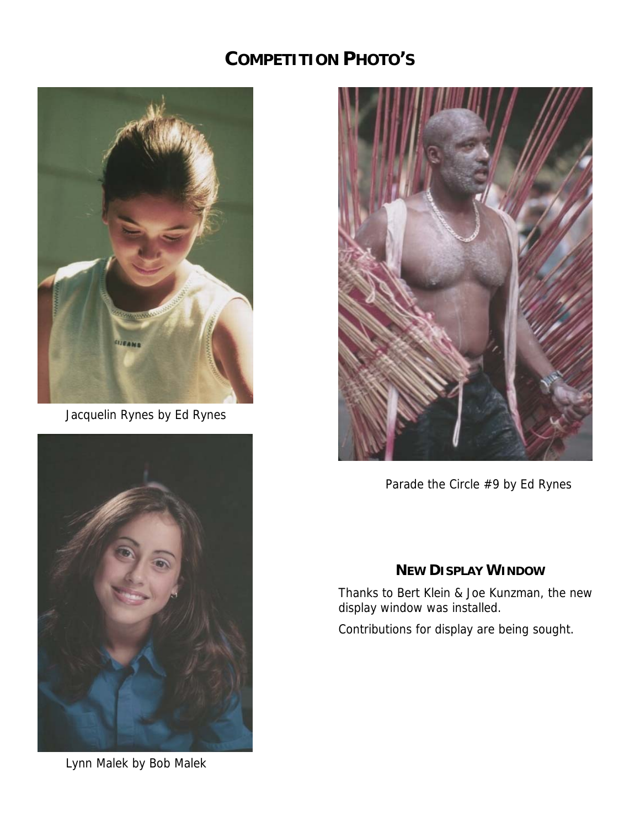# **COMPETITION PHOTO'S**



Jacquelin Rynes by Ed Rynes



Lynn Malek by Bob Malek



Parade the Circle #9 by Ed Rynes

## **NEW DISPLAY WINDOW**

Thanks to Bert Klein & Joe Kunzman, the new display window was installed.

Contributions for display are being sought.